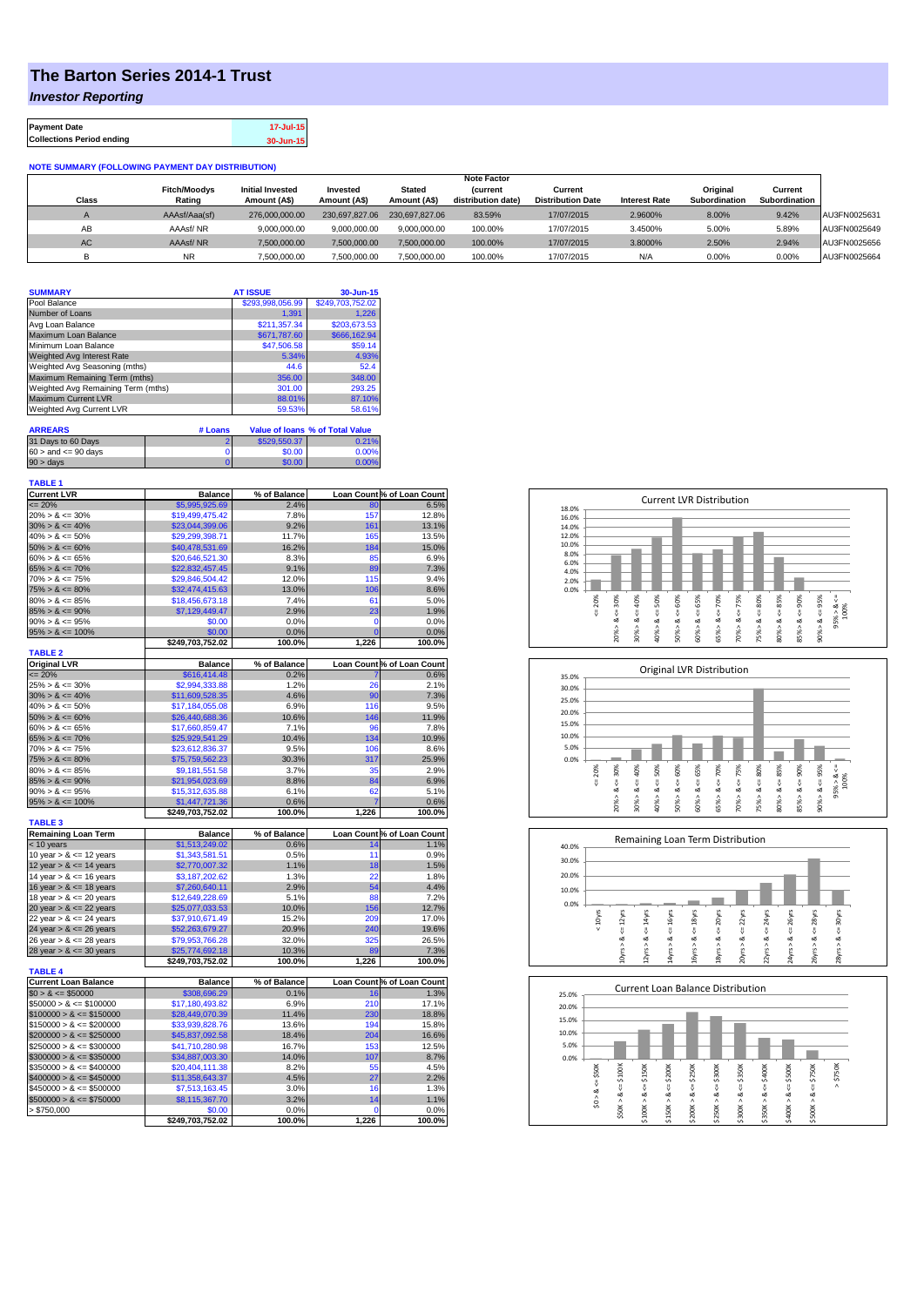## **The Barton Series 2014-1 Trust**

*Investor Reporting*

| <b>Payment Date</b>              | 17-Jul-15 |
|----------------------------------|-----------|
| <b>Collections Period ending</b> | 30-Jun-15 |

## **NOTE SUMMARY (FOLLOWING PAYMENT DAY DISTRIBUTION)**

|              |                     |                         |                |                | <b>Note Factor</b> |                          |                      |               |               |              |
|--------------|---------------------|-------------------------|----------------|----------------|--------------------|--------------------------|----------------------|---------------|---------------|--------------|
|              | <b>Fitch/Moodys</b> | <b>Initial Invested</b> | Invested       | Stated         | <b>Current</b>     | Current                  |                      | Original      | Current       |              |
| <b>Class</b> | Rating              | Amount (A\$)            | Amount (A\$)   | Amount (A\$)   | distribution date) | <b>Distribution Date</b> | <b>Interest Rate</b> | Subordination | Subordination |              |
|              | AAAsf/Aaa(sf)       | 276,000,000,00          | 230.697.827.06 | 230.697.827.06 | 83.59%             | 17/07/2015               | 2.9600%              | 8.00%         | 9.42%         | AU3FN0025631 |
| AB           | AAAsf/NR            | 9,000,000.00            | 9.000.000.00   | 9.000.000.00   | 100.00%            | 17/07/2015               | 3.4500%              | 5.00%         | 5.89%         | AU3FN0025649 |
| AC.          | AAAsf/NR            | 7,500,000.00            | 7.500.000.00   | 7.500.000.00   | 100.00%            | 17/07/2015               | 3.8000%              | 2.50%         | 2.94%         | AU3FN0025656 |
|              | <b>NR</b>           | ,500,000.00             | 7.500.000.00   | 7,500,000.00   | 100.00%            | 17/07/2015               | N/A                  | 0.00%         | 0.00%         | AU3FN0025664 |

| <b>SUMMARY</b>                     |         | <b>AT ISSUE</b>  | 30-Jun-15                              |
|------------------------------------|---------|------------------|----------------------------------------|
| Pool Balance                       |         | \$293,998,056.99 | \$249,703,752.02                       |
| Number of Loans                    |         | 1.391            | 1,226                                  |
| Avg Loan Balance                   |         | \$211.357.34     | \$203,673.53                           |
| Maximum Loan Balance               |         | \$671,787.60     | \$666,162.94                           |
| Minimum Loan Balance               |         | \$47,506.58      | \$59.14                                |
| <b>Weighted Avg Interest Rate</b>  |         | 5.34%            | 4.93%                                  |
| Weighted Avg Seasoning (mths)      |         | 44.6             | 52.4                                   |
| Maximum Remaining Term (mths)      |         | 356.00           | 348.00                                 |
| Weighted Avg Remaining Term (mths) |         | 301.00           | 293.25                                 |
| <b>Maximum Current LVR</b>         |         | 88.01%           | 87.10%                                 |
| <b>Weighted Avg Current LVR</b>    |         | 59.53%           | 58.61%                                 |
| <b>ARREARS</b>                     | # Loans |                  | <b>Value of loans % of Total Value</b> |

| $60 >$ and $\leq 90$ days<br>\$0.00<br>$90 > \text{days}$ | 6529.550.37    | 31 Days to 60 Days |
|-----------------------------------------------------------|----------------|--------------------|
|                                                           | 0.00%          |                    |
|                                                           | 60.00<br>በ በበ% |                    |

| <b>TABLE 1</b><br><b>Current LVR</b>       | <b>Balance</b>             | % of Balance   |                               | Loan Count % of Loan Count |
|--------------------------------------------|----------------------------|----------------|-------------------------------|----------------------------|
| $= 20%$                                    | \$5,995,925.69             | 2.4%           |                               |                            |
|                                            |                            |                | 80<br>157                     | 6.5%                       |
| $20\% > 8 \le 30\%$                        | \$19,499,475.42            | 7.8%           |                               | 12.8%                      |
| $30\% > 8 \le 40\%$                        | \$23,044,399.06            | 9.2%           | 161                           | 13.1%                      |
| $40\% > 8 \le 50\%$                        | \$29,299,398.71            | 11.7%          | 165                           | 13.5%                      |
| $50\% > 8 \le 60\%$                        | \$40,478,531.69            | 16.2%          | 184                           | 15.0%                      |
| $60\% > 8 \le 65\%$                        | \$20,646,521.30            | 8.3%           | 85<br>89                      | 6.9%                       |
| $65\% > 8 \le 70\%$                        | \$22,832,457.45            | 9.1%           |                               | 7.3%                       |
| $70\% > 8 \le 75\%$                        | \$29,846,504.42            | 12.0%          | 115                           | 9.4%                       |
| $75\% > 8 \le 80\%$<br>$80\% > 8 \le 85\%$ | \$32,474,415.63            | 13.0%<br>7.4%  | 106                           | 8.6%                       |
|                                            | \$18,456,673.18            |                | 61<br>23                      | 5.0%                       |
| $85\% > 8 \le 90\%$<br>$90\% > 8 \le 95\%$ | \$7,129,449.47             | 2.9%           |                               | 1.9%                       |
|                                            | \$0.00                     | 0.0%           | $\mathbf 0$<br>$\overline{0}$ | 0.0%                       |
| $95\% > 8 \le 100\%$                       | \$0.00                     | 0.0%           | 1,226                         | 0.0%                       |
| <b>TABLE 2</b>                             | \$249,703,752.02           | 100.0%         |                               | 100.0%                     |
| <b>Original LVR</b>                        | <b>Balance</b>             | % of Balance   |                               | Loan Count % of Loan Count |
| $= 20%$                                    | \$616,414.48               | 0.2%           |                               | 0.6%                       |
| $25\% > 8 \le 30\%$                        | \$2,994,333.88             | 1.2%           | 26                            | 2.1%                       |
| $30\% > 8 \le 40\%$                        | \$11,609,528.35            | 4.6%           | 90                            | 7.3%                       |
| $40\% > 8 \le 50\%$                        | \$17,184,055.08            | 6.9%           | 116                           | 9.5%                       |
| $50\% > 8 \le 60\%$                        | \$26,440,688.36            | 10.6%          | 146                           | 11.9%                      |
| $60\% > 8 \le 65\%$                        | \$17,660,859.47            | 7.1%           | 96                            | 7.8%                       |
| $65\% > 8 \le 70\%$                        | \$25,929,541.29            | 10.4%          | 134                           | 10.9%                      |
| $70\% > 8 \le 75\%$                        | \$23,612,836.37            | 9.5%           | 106                           | 8.6%                       |
| $75\% > 8 \le 80\%$                        | \$75,759,562.23            | 30.3%          | 317                           | 25.9%                      |
| $80\% > 8 \le 85\%$                        | \$9,181,551.58             | 3.7%           | 35                            | 2.9%                       |
| $85\% > 8 \le 90\%$                        | \$21,954,023.69            | 8.8%           | 84                            | 6.9%                       |
| $90\% > 8 \le 95\%$                        | \$15,312,635.88            | 6.1%           | 62                            | 5.1%                       |
| $95\% > 8 \le 100\%$                       | \$1,447,721.36             | 0.6%           | 7                             | 0.6%                       |
|                                            | \$249,703,752.02           | 100.0%         | 1,226                         | 100.0%                     |
| <b>TABLE 3</b>                             |                            |                |                               |                            |
| <b>Remaining Loan Term</b>                 | <b>Balance</b>             | % of Balance   |                               | Loan Count % of Loan Count |
| < 10 years                                 | \$1,513,249.02             | 0.6%           | 14                            | 1.1%                       |
| 10 year $> 8 \le 12$ years                 | \$1,343,581.51             | 0.5%           | 11                            | 0.9%                       |
| 12 year $> 8 \le 14$ years                 | \$2,770,007.32             | 1.1%           | 18                            | 1.5%                       |
| 14 year $> 8 \le 16$ years                 | \$3,187,202.62             | 1.3%           | 22                            | 1.8%                       |
| 16 year $> 8 \le 18$ years                 | \$7,260,640.11             | 2.9%           | 54                            | 4.4%                       |
| 18 year $> 8 \le 20$ years                 | \$12,649,228.69            | 5.1%           | 88                            | 7.2%                       |
| 20 year $> 8 \le 22$ years                 | \$25,077,033.53            | 10.0%          | 156                           | 12.7%                      |
| 22 year $> 8 \le 24$ years                 | \$37,910,671.49            | 15.2%          | 209                           | 17.0%                      |
| 24 year $> 8 \le 26$ years                 | \$52,263,679.27            | 20.9%          | 240                           | 19.6%                      |
| 26 year > & <= 28 years                    | \$79,953,766.28            | 32.0%          | 325                           | 26.5%                      |
| 28 year $> 8 \le 30$ years                 | \$25,774,692.18            | 10.3%          | 89                            | 7.3%                       |
|                                            | \$249,703,752.02           | 100.0%         | 1,226                         | 100.0%                     |
| <b>TABLE 4</b>                             |                            |                |                               |                            |
| <b>Current Loan Balance</b>                | <b>Balance</b>             | % of Balance   |                               | Loan Count % of Loan Count |
| $$0 > 8 \leq $50000$                       | \$308,696.29               | 0.1%           | 16                            | 1.3%                       |
| $$50000 > 8 \le $100000$                   | \$17,180,493.82            | 6.9%           | 210                           | 17.1%                      |
| $$100000 > 8 \leq $150000$                 | \$28,449,070.39            | 11.4%          | 230                           | 18.8%                      |
| $$150000 > 8 \leq $200000$                 | \$33,939,828.76            | 13.6%          | 194                           | 15.8%                      |
| $$200000 > 8 \leq $250000$                 | \$45,837,092.58            | 18.4%          | 204                           | 16.6%                      |
| $$250000 > 8 \leq $300000$                 | \$41,710,280.98            | 16.7%          | 153                           | 12.5%                      |
| $$300000 > 8 \leq $350000$                 | \$34,887,003.30            | 14.0%          | 107                           | 8.7%                       |
| $$350000 > 8 \leq $400000$                 | \$20,404,111.38            | 8.2%           | 55                            | 4.5%                       |
| $$400000 > 8 \le $450000$                  | \$11,358,643.37            | 4.5%           | 27                            | 2.2%                       |
| $$450000 > 8 \leq $500000$                 | \$7,513,163.45             | 3.0%           | 16                            | 1.3%                       |
| $$500000 > 8 \leq $750000$                 | \$8,115,367.70             | 3.2%           | 14                            | 1.1%                       |
|                                            |                            |                |                               |                            |
| > \$750,000                                | \$0.00<br>\$249,703,752.02 | 0.0%<br>100.0% | 0<br>1,226                    | 0.0%<br>100.0%             |